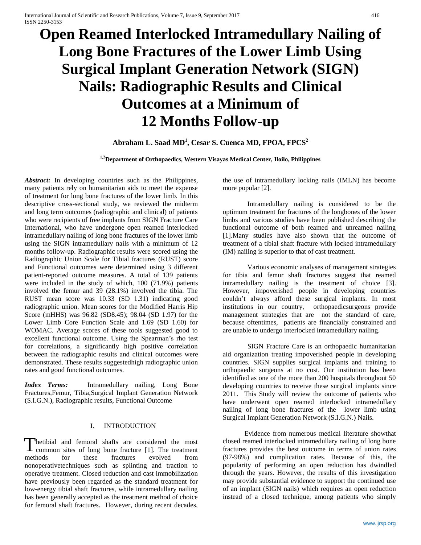# **Open Reamed Interlocked Intramedullary Nailing of Long Bone Fractures of the Lower Limb Using Surgical Implant Generation Network (SIGN) Nails: Radiographic Results and Clinical Outcomes at a Minimum of 12 Months Follow-up**

# **Abraham L. Saad MD<sup>1</sup> , Cesar S. Cuenca MD, FPOA, FPCS<sup>2</sup>**

## **1,2Department of Orthopaedics, Western Visayas Medical Center, Iloilo, Philippines**

*Abstract:* In developing countries such as the Philippines, many patients rely on humanitarian aids to meet the expense of treatment for long bone fractures of the lower limb. In this descriptive cross-sectional study, we reviewed the midterm and long term outcomes (radiographic and clinical) of patients who were recipients of free implants from SIGN Fracture Care International, who have undergone open reamed interlocked intramedullary nailing of long bone fractures of the lower limb using the SIGN intramedullary nails with a minimum of 12 months follow-up. Radiographic results were scored using the Radiographic Union Scale for Tibial fractures (RUST) score and Functional outcomes were determined using 3 different patient-reported outcome measures. A total of 139 patients were included in the study of which, 100 (71.9%) patients involved the femur and 39 (28.1%) involved the tibia. The RUST mean score was 10.33 (SD 1.31) indicating good radiographic union. Mean scores for the Modified Harris Hip Score (mHHS) was 96.82 (SD8.45); 98.04 (SD 1.97) for the Lower Limb Core Function Scale and 1.69 (SD 1.60) for WOMAC. Average scores of these tools suggested good to excellent functional outcome. Using the Spearman's rho test for correlations, a significantly high positive correlation between the radiographic results and clinical outcomes were demonstrated. These results suggestedhigh radiographic union rates and good functional outcomes.

*Index Terms:* Intramedullary nailing, Long Bone Fractures,Femur, Tibia,Surgical Implant Generation Network (S.I.G.N.), Radiographic results, Functional Outcome

## I. INTRODUCTION

hetibial and femoral shafts are considered the most Thetibial and femoral shafts are considered the most common sites of long bone fracture [1]. The treatment methods for these fractures evolved from nonoperativetechniques such as splinting and traction to operative treatment. Closed reduction and cast immobilization have previously been regarded as the standard treatment for low-energy tibial shaft fractures, while intramedullary nailing has been generally accepted as the treatment method of choice for femoral shaft fractures. However, during recent decades,

the use of intramedullary locking nails (IMLN) has become more popular [2].

Intramedullary nailing is considered to be the optimum treatment for fractures of the longbones of the lower limbs and various studies have been published describing the functional outcome of both reamed and unreamed nailing [1].Many studies have also shown that the outcome of treatment of a tibial shaft fracture with locked intramedullary (IM) nailing is superior to that of cast treatment.

Various economic analyses of management strategies for tibia and femur shaft fractures suggest that reamed intramedullary nailing is the treatment of choice [3]. However, impoverished people in developing countries couldn't always afford these surgical implants. In most institutions in our country, orthopaedicsurgeons provide management strategies that are not the standard of care, because oftentimes, patients are financially constrained and are unable to undergo interlocked intramedullary nailing.

SIGN Fracture Care is an orthopaedic humanitarian aid organization treating impoverished people in developing countries. SIGN supplies surgical implants and training to orthopaedic surgeons at no cost. Our institution has been identified as one of the more than 200 hospitals throughout 50 developing countries to receive these surgical implants since 2011. This Study will review the outcome of patients who have underwent open reamed interlocked intramedullary nailing of long bone fractures of the lower limb using Surgical Implant Generation Network (S.I.G.N.) Nails.

Evidence from numerous medical literature showthat closed reamed interlocked intramedullary nailing of long bone fractures provides the best outcome in terms of union rates (97-98%) and complication rates. Because of this, the popularity of performing an open reduction has dwindled through the years. However, the results of this investigation may provide substantial evidence to support the continued use of an implant (SIGN nails) which requires an open reduction instead of a closed technique, among patients who simply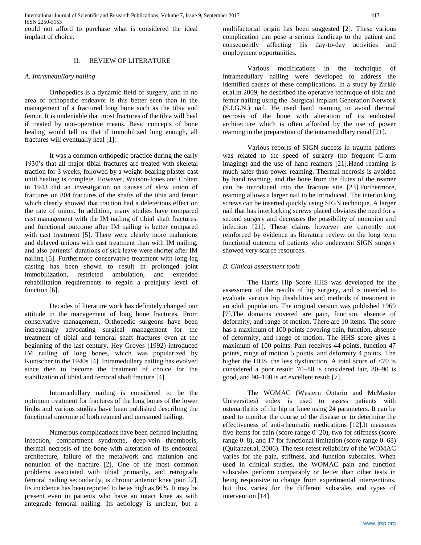International Journal of Scientific and Research Publications, Volume 7, Issue 9, September 2017 417 ISSN 2250-3153

could not afford to purchase what is considered the ideal implant of choice.

#### II. REVIEW OF LITERATURE

#### *A. Intramedullary nailing*

Orthopedics is a dynamic field of surgery, and in no area of orthopedic endeavor is this better seen than in the management of a fractured long bone such as the tibia and femur. It is undeniable that most fractures of the tibia will heal if treated by non-operative means. Basic concepts of bone healing would tell us that if immobilized long enough, all fractures will eventually heal [1].

It was a common orthopedic practice during the early 1930's that all major tibial fractures are treated with skeletal traction for 3 weeks, followed by a weight-bearing plaster cast until healing is complete. However, Watson-Jones and Coltart in 1943 did an investigation on causes of slow union of fractures on 804 fractures of the shafts of the tibia and femur which clearly showed that traction had a deleterious effect on the rate of union. In addition, many studies have compared cast management with the IM nailing of tibial shaft fractures, and functional outcome after IM nailing is better compared with cast treatment [5]. There were clearly more malunions and delayed unions with cast treatment than with IM nailing, and also patients' durations of sick leave were shorter after IM nailing [5]. Furthermore conservative treatment with long-leg casting has been shown to result in prolonged joint immobilization, restricted ambulation, and extended rehabilitation requirements to regain a preinjury level of function [6].

Decades of literature work has definitely changed our attitude in the management of long bone fractures. From conservative management, Orthopedic surgeons have been increasingly advocating surgical management for the treatment of tibial and femoral shaft fractures even at the beginning of the last century. Hey Groves (1992) introduced IM nailing of long bones, which was popularized by Kuntscher in the 1940s [4]. Intramedullary nailing has evolved since then to become the treatment of choice for the stabilization of tibial and femoral shaft fracture [4].

Intramedullary nailing is considered to be the optimum treatment for fractures of the long bones of the lower limbs and various studies have been published describing the functional outcome of both reamed and unreamed nailing.

Numerous complications have been defined including infection, compartment syndrome, deep-vein thrombosis, thermal necrosis of the bone with alteration of its endosteal architecture, failure of the metalwork and malunion and nonunion of the fracture [2]. One of the most common problems associated with tibial primarily, and retrograde femoral nailing secondarily, is chronic anterior knee pain [2]. Its incidence has been reported to be as high as 86%. It may be present even in patients who have an intact knee as with antegrade femoral nailing. Its aetiology is unclear, but a

multifactorial origin has been suggested [2]. These various complication can pose a serious handicap to the patient and consequently affecting his day-to-day activities and employment opportunities.

Various modifications in the technique of intramedullary nailing were developed to address the identified causes of these complications. In a study by Zirkle et.al.in 2009, he described the operative technique of tibia and femur nailing using the Surgical Implant Generation Network (S.I.G.N.) nail. He used hand reaming to avoid thermal necrosis of the bone with alteration of its endosteal architecture which is often afforded by the use of power reaming in the preparation of the intramedullary canal [21].

Various reports of SIGN success in trauma patients was related to the speed of surgery (no frequent C-arm imaging) and the use of hand reamers [21].Hand reaming is much safer than power reaming. Thermal necrosis is avoided by hand reaming, and the bone from the flutes of the reamer can be introduced into the fracture site [23].Furthermore, reaming allows a larger nail to be introduced. The interlocking screws can be inserted quickly using SIGN technique. A larger nail that has interlocking screws placed obviates the need for a second surgery and decreases the possibility of nonunion and infection [21]. These claims however are currently not reinforced by evidence as literature review on the long term functional outcome of patients who underwent SIGN surgery showed very scarce resources.

#### *B. Clinical assessment tools*

The Harris Hip Score HHS was developed for the assessment of the results of hip surgery, and is intended to evaluate various hip disabilities and methods of treatment in an adult population. The original version was published 1969 [7].The domains covered are pain, function, absence of deformity, and range of motion. There are 10 items. The score has a maximum of 100 points covering pain, function, absence of deformity, and range of motion. The HHS score gives a maximum of 100 points. Pain receives 44 points, function 47 points, range of motion 5 points, and deformity 4 points. The higher the HHS, the less dysfunction. A total score of  $\langle 70 \rangle$  is considered a poor result; 70–80 is considered fair, 80–90 is good, and 90–100 is an excellent result [7].

The WOMAC (Western Ontario and McMaster Universities) index is used to assess patients with osteoarthritis of the hip or knee using 24 parameters. It can be used to monitor the course of the disease or to determine the effectiveness of anti-rheumatic medications [12].It measures five items for [pain](https://en.wikipedia.org/wiki/Pain) (score range 0–20), two for stiffness (score range 0–8), and 17 for functional limitation (score range 0–68) (Quitanaet.al, 2006). The test-retest reliability of the WOMAC varies for the pain, stiffness, and function subscales. When used in clinical studies, the WOMAC pain and function subscales perform comparably or better than other tests in being responsive to change from experimental interventions, but this varies for the different subscales and types of intervention [14].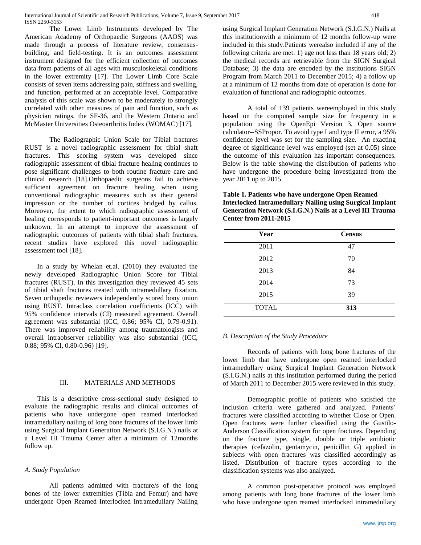The Lower Limb Instruments developed by The American Academy of Orthopaedic Surgeons (AAOS) was made through a process of literature review, consensusbuilding, and field-testing. It is an outcomes assessment instrument designed for the efficient collection of outcomes data from patients of all ages with musculoskeletal conditions in the lower extremity [17]. The Lower Limb Core Scale consists of seven items addressing pain, stiffness and swelling, and function, performed at an acceptable level. Comparative analysis of this scale was shown to be moderately to strongly correlated with other measures of pain and function, such as physician ratings, the SF-36, and the Western Ontario and McMaster Universities Osteoarthritis Index (WOMAC) [17].

The Radiographic Union Scale for Tibial fractures RUST is a novel radiographic assessment for tibial shaft fractures. This scoring system was developed since radiographic assessment of tibial fracture healing continues to pose significant challenges to both routine fracture care and clinical research [18].Orthopaedic surgeons fail to achieve sufficient agreement on fracture healing when using conventional radiographic measures such as their general impression or the number of cortices bridged by callus. Moreover, the extent to which radiographic assessment of healing corresponds to patient-important outcomes is largely unknown. In an attempt to improve the assessment of radiographic outcomes of patients with tibial shaft fractures, recent studies have explored this novel radiographic assessment tool [18].

In a study by Whelan et.al. (2010) they evaluated the newly developed Radiographic Union Score for Tibial fractures (RUST). In this investigation they reviewed 45 sets of tibial shaft fractures treated with intramedullary fixation. Seven orthopedic reviewers independently scored bony union using RUST. Intraclass correlation coefficients (ICC) with 95% confidence intervals (CI) measured agreement. Overall agreement was substantial (ICC, 0.86; 95% CI, 0.79-0.91). There was improved reliability among traumatologists and overall intraobserver reliability was also substantial (ICC, 0.88; 95% CI, 0.80-0.96) [19].

#### III. MATERIALS AND METHODS

This is a descriptive cross-sectional study designed to evaluate the radiographic results and clinical outcomes of patients who have undergone open reamed interlocked intramedullary nailing of long bone fractures of the lower limb using Surgical Implant Generation Network (S.I.G.N.) nails at a Level III Trauma Center after a minimum of 12months follow up.

#### *A. Study Population*

All patients admitted with fracture/s of the long bones of the lower extremities (Tibia and Femur) and have undergone Open Reamed Interlocked Intramedullary Nailing using Surgical Implant Generation Network (S.I.G.N.) Nails at this institutionwith a minimum of 12 months follow-up were included in this study.Patients werealso included if any of the following criteria are met: 1) age not less than 18 years old; 2) the medical records are retrievable from the SIGN Surgical Database; 3) the data are encoded by the institutions SIGN Program from March 2011 to December 2015; 4) a follow up at a minimum of 12 months from date of operation is done for evaluation of functional and radiographic outcomes.

A total of 139 patients wereemployed in this study based on the computed sample size for frequency in a population using the OpenEpi Version 3, Open source calculator--SSPropor. To avoid type I and type II error, a 95% confidence level was set for the sampling size. An exacting degree of significance level was employed (set at 0.05) since the outcome of this evaluation has important consequences. Below is the table showing the distribution of patients who have undergone the procedure being investigated from the year 2011 up to 2015.

**Table 1. Patients who have undergone Open Reamed Interlocked Intramedullary Nailing using Surgical Implant Generation Network (S.I.G.N.) Nails at a Level III Trauma Center from 2011-2015**

| Year         | <b>Census</b> |
|--------------|---------------|
| 2011         | 47            |
| 2012         | 70            |
| 2013         | 84            |
| 2014         | 73            |
| 2015         | 39            |
| <b>TOTAL</b> | 313           |

# *B. Description of the Study Procedure*

Records of patients with long bone fractures of the lower limb that have undergone open reamed interlocked intramedullary using Surgical Implant Generation Network (S.I.G.N.) nails at this institution performed during the period of March 2011 to December 2015 were reviewed in this study.

Demographic profile of patients who satisfied the inclusion criteria were gathered and analyzed. Patients' fractures were classified according to whether Close or Open. Open fractures were further classified using the Gustilo-Anderson Classification system for open fractures. Depending on the fracture type, single, double or triple antibiotic therapies (cefazolin, gentamycin, penicillin G) applied in subjects with open fractures was classified accordingly as listed. Distribution of fracture types according to the classification systems was also analyzed.

A common post-operative protocol was employed among patients with long bone fractures of the lower limb who have undergone open reamed interlocked intramedullary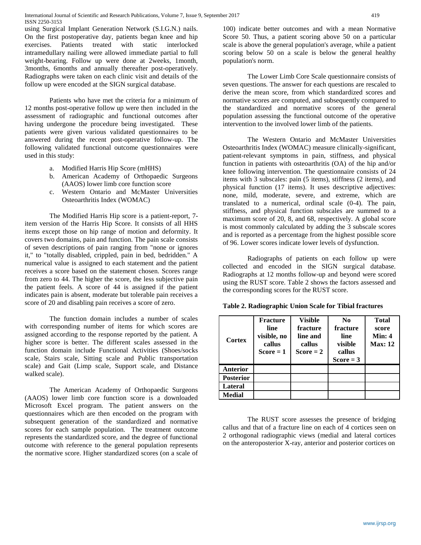International Journal of Scientific and Research Publications, Volume 7, Issue 9, September 2017 419 ISSN 2250-3153

using Surgical Implant Generation Network (S.I.G.N.) nails. On the first postoperative day, patients began knee and hip exercises. Patients treated with static interlocked intramedullary nailing were allowed immediate partial to full weight-bearing. Follow up were done at 2weeks, 1month, 3months, 6months and annually thereafter post-operatively. Radiographs were taken on each clinic visit and details of the follow up were encoded at the SIGN surgical database.

Patients who have met the criteria for a minimum of 12 months post-operative follow up were then included in the assessment of radiographic and functional outcomes after having undergone the procedure being investigated. These patients were given various validated questionnaires to be answered during the recent post-operative follow-up. The following validated functional outcome questionnaires were used in this study:

- a. Modified Harris Hip Score (mHHS)
- b. American Academy of Orthopaedic Surgeons (AAOS) lower limb core function score
- c. Western Ontario and McMaster Universities Osteoarthritis Index (WOMAC)

The Modified Harris Hip score is a patient-report, 7 item version of the Harris Hip Score. It consists of all HHS items except those on hip range of motion and deformity. It covers two domains, pain and function. The pain scale consists of seven descriptions of pain ranging from "none or ignores it," to "totally disabled, crippled, pain in bed, bedridden." A numerical value is assigned to each statement and the patient receives a score based on the statement chosen. Scores range from zero to 44. The higher the score, the less subjective pain the patient feels. A score of 44 is assigned if the patient indicates pain is absent, moderate but tolerable pain receives a score of 20 and disabling pain receives a score of zero.

The function domain includes a number of scales with corresponding number of items for which scores are assigned according to the response reported by the patient. A higher score is better. The different scales assessed in the function domain include Functional Activities (Shoes/socks scale, Stairs scale, Sitting scale and Public transportation scale) and Gait (Limp scale, Support scale, and Distance walked scale).

The American Academy of Orthopaedic Surgeons (AAOS) lower limb core function score is a downloaded Microsoft Excel program. The patient answers on the questionnaires which are then encoded on the program with subsequent generation of the standardized and normative scores for each sample population. The treatment outcome represents the standardized score, and the degree of functional outcome with reference to the general population represents the normative score. Higher standardized scores (on a scale of 100) indicate better outcomes and with a mean Normative Score 50. Thus, a patient scoring above 50 on a particular scale is above the general population's average, while a patient scoring below 50 on a scale is below the general healthy population's norm.

The Lower Limb Core Scale questionnaire consists of seven questions. The answer for each questions are rescaled to derive the mean score, from which standardized scores and normative scores are computed, and subsequently compared to the standardized and normative scores of the general population assessing the functional outcome of the operative intervention to the involved lower limb of the patients.

The Western Ontario and McMaster Universities Osteoarthritis Index (WOMAC) measure clinically-significant, patient-relevant symptoms in pain, stiffness, and physical function in patients with osteoarthritis (OA) of the hip and/or knee following intervention. The questionnaire consists of 24 items with 3 subscales: pain (5 items), stiffness (2 items), and physical function (17 items). It uses descriptive adjectives: none, mild, moderate, severe, and extreme, which are translated to a numerical, ordinal scale (0-4). The pain, stiffness, and physical function subscales are summed to a maximum score of 20, 8, and 68, respectively. A global score is most commonly calculated by adding the 3 subscale scores and is reported as a percentage from the highest possible score of 96. Lower scores indicate lower levels of dysfunction.

Radiographs of patients on each follow up were collected and encoded in the SIGN surgical database. Radiographs at 12 months follow-up and beyond were scored using the RUST score. Table 2 shows the factors assessed and the corresponding scores for the RUST score.

| <b>Cortex</b>    | <b>Fracture</b><br>line<br>visible, no<br>callus<br>$Score = 1$ | <b>Visible</b><br>fracture<br>line and<br>callus<br>$Score = 2$ | No<br>fracture<br>line<br>visible<br>callus<br>$Score = 3$ | Total<br>score<br>Min: 4<br><b>Max: 12</b> |
|------------------|-----------------------------------------------------------------|-----------------------------------------------------------------|------------------------------------------------------------|--------------------------------------------|
| Anterior         |                                                                 |                                                                 |                                                            |                                            |
| <b>Posterior</b> |                                                                 |                                                                 |                                                            |                                            |
| Lateral          |                                                                 |                                                                 |                                                            |                                            |
| <b>Medial</b>    |                                                                 |                                                                 |                                                            |                                            |

**Table 2. Radiographic Union Scale for Tibial fractures**

The RUST score assesses the presence of bridging callus and that of a fracture line on each of 4 cortices seen on 2 orthogonal radiographic views (medial and lateral cortices on the anteroposterior X-ray, anterior and posterior cortices on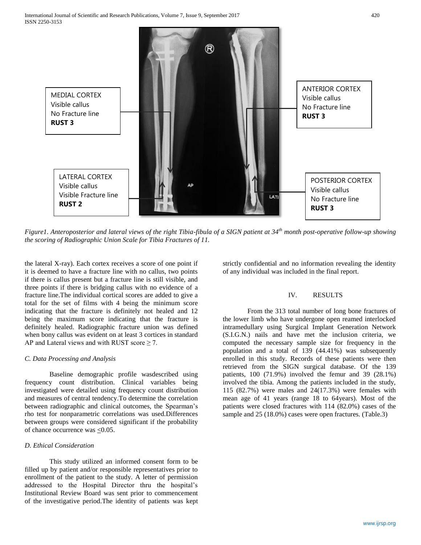

*Figure1. Anteroposterior and lateral views of the right Tibia-fibula of a SIGN patient at 34th month post-operative follow-up showing the scoring of Radiographic Union Scale for Tibia Fractures of 11.*

the lateral X-ray). Each cortex receives a score of one point if it is deemed to have a fracture line with no callus, two points if there is callus present but a fracture line is still visible, and three points if there is bridging callus with no evidence of a fracture line.The individual cortical scores are added to give a total for the set of films with 4 being the minimum score indicating that the fracture is definitely not healed and 12 being the maximum score indicating that the fracture is definitely healed. Radiographic fracture union was defined when bony callus was evident on at least 3 cortices in standard AP and Lateral views and with RUST score  $\geq$  7.

#### *C. Data Processing and Analysis*

Baseline demographic profile wasdescribed using frequency count distribution. Clinical variables being investigated were detailed using frequency count distribution and measures of central tendency.To determine the correlation between radiographic and clinical outcomes, the Spearman's rho test for nonparametric correlations was used.Differences between groups were considered significant if the probability of chance occurrence was  $\leq 0.05$ .

#### *D. Ethical Consideration*

This study utilized an informed consent form to be filled up by patient and/or responsible representatives prior to enrollment of the patient to the study. A letter of permission addressed to the Hospital Director thru the hospital's Institutional Review Board was sent prior to commencement of the investigative period.The identity of patients was kept strictly confidential and no information revealing the identity of any individual was included in the final report.

## IV. RESULTS

From the 313 total number of long bone fractures of the lower limb who have undergone open reamed interlocked intramedullary using Surgical Implant Generation Network (S.I.G.N.) nails and have met the inclusion criteria, we computed the necessary sample size for frequency in the population and a total of 139 (44.41%) was subsequently enrolled in this study. Records of these patients were then retrieved from the SIGN surgical database. Of the 139 patients, 100 (71.9%) involved the femur and 39 (28.1%) involved the tibia. Among the patients included in the study, 115 (82.7%) were males and 24(17.3%) were females with mean age of 41 years (range 18 to 64years). Most of the patients were closed fractures with 114 (82.0%) cases of the sample and 25 (18.0%) cases were open fractures. (Table.3)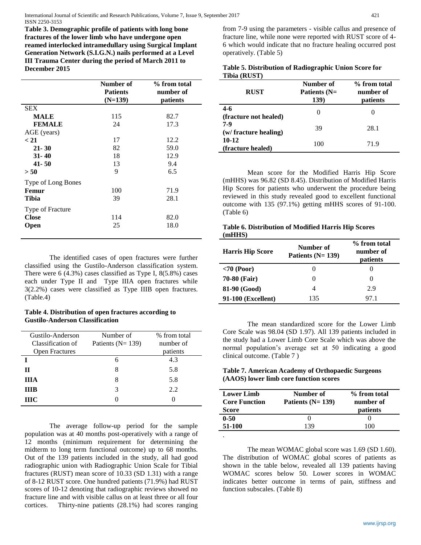International Journal of Scientific and Research Publications, Volume 7, Issue 9, September 2017 421 ISSN 2250-3153

**Table 3. Demographic profile of patients with long bone fractures of the lower limb who have undergone open reamed interlocked intramedullary using Surgical Implant Generation Network (S.I.G.N.) nails performed at a Level III Trauma Center during the period of March 2011 to December 2015**

|                    | Number of       | % from total |
|--------------------|-----------------|--------------|
|                    | <b>Patients</b> | number of    |
|                    | $(N=139)$       | patients     |
| <b>SEX</b>         |                 |              |
| <b>MALE</b>        | 115             | 82.7         |
| <b>FEMALE</b>      | 24              | 17.3         |
| AGE (years)        |                 |              |
| < 21               | 17              | 12.2         |
| $21 - 30$          | 82              | 59.0         |
| $31 - 40$          | 18              | 12.9         |
| $41 - 50$          | 13              | 9.4          |
| > 50               | 9               | 6.5          |
| Type of Long Bones |                 |              |
| Femur              | 100             | 71.9         |
| Tibia              | 39              | 28.1         |
| Type of Fracture   |                 |              |
| <b>Close</b>       | 114             | 82.0         |
| Open               | 25              | 18.0         |
|                    |                 |              |

The identified cases of open fractures were further classified using the Gustilo-Anderson classification system. There were  $6$  (4.3%) cases classified as Type I,  $8(5.8\%)$  cases each under Type II and Type IIIA open fractures while 3(2.2%) cases were classified as Type IIIB open fractures. (Table.4)

**Table 4. Distribution of open fractures according to Gustilo-Anderson Classification**

| Gustilo-Anderson<br>Classification of<br><b>Open Fractures</b> | Number of<br>Patients ( $N = 139$ ) | % from total<br>number of<br>patients |
|----------------------------------------------------------------|-------------------------------------|---------------------------------------|
|                                                                | 6                                   | 4.3                                   |
| п                                                              |                                     | 5.8                                   |
| ШA                                                             |                                     | 5.8                                   |
| <b>THB</b>                                                     | 3                                   | 2.2                                   |
| <b>THC</b>                                                     |                                     |                                       |

The average follow-up period for the sample population was at 40 months post-operatively with a range of 12 months (minimum requirement for determining the midterm to long term functional outcome) up to 68 months. Out of the 139 patients included in the study, all had good radiographic union with Radiographic Union Scale for Tibial fractures (RUST) mean score of 10.33 (SD 1.31) with a range of 8-12 RUST score. One hundred patients (71.9%) had RUST scores of 10-12 denoting that radiographic reviews showed no fracture line and with visible callus on at least three or all four cortices. Thirty-nine patients (28.1%) had scores ranging from 7-9 using the parameters - visible callus and presence of fracture line, while none were reported with RUST score of 4- 6 which would indicate that no fracture healing occurred post operatively. (Table 5)

|              |  | Table 5. Distribution of Radiographic Union Score for |
|--------------|--|-------------------------------------------------------|
| Tibia (RUST) |  |                                                       |

| <b>RUST</b>                      | Number of<br>Patients (N=<br>139) | % from total<br>number of<br>patients |
|----------------------------------|-----------------------------------|---------------------------------------|
| $4 - 6$<br>(fracture not healed) | $\Omega$                          |                                       |
| 7-9<br>(w/ fracture healing)     | 39                                | 28.1                                  |
| $10 - 12$<br>(fracture healed)   | 100                               | 71.9                                  |

Mean score for the Modified Harris Hip Score (mHHS) was 96.82 (SD 8.45). Distribution of Modified Harris Hip Scores for patients who underwent the procedure being reviewed in this study revealed good to excellent functional outcome with 135 (97.1%) getting mHHS scores of 91-100. (Table 6)

#### **Table 6. Distribution of Modified Harris Hip Scores (mHHS)**

| <b>Harris Hip Score</b> | Number of<br>Patients $(N=139)$ | % from total<br>number of<br>patients |
|-------------------------|---------------------------------|---------------------------------------|
| $< 70$ (Poor)           |                                 |                                       |
| <b>70-80 (Fair)</b>     | $\mathbf{0}$                    | $\left($                              |
| 81-90 (Good)            | 4                               | 2.9                                   |
| 91-100 (Excellent)      | 135                             | 97.1                                  |

The mean standardized score for the Lower Limb Core Scale was 98.04 (SD 1.97). All 139 patients included in the study had a Lower Limb Core Scale which was above the normal population's average set at 50 indicating a good clinical outcome. (Table 7 )

## **Table 7. American Academy of Orthopaedic Surgeons (AAOS) lower limb core function scores**

| <b>Lower Limb</b><br><b>Core Function</b><br>Score | Number of<br>Patients $(N=139)$ | % from total<br>number of<br>patients |
|----------------------------------------------------|---------------------------------|---------------------------------------|
| $0 - 50$                                           |                                 |                                       |
| 51-100                                             | 139                             | 100                                   |
| ٠                                                  |                                 |                                       |

The mean WOMAC global score was 1.69 (SD 1.60). The distribution of WOMAC global scores of patients as shown in the table below, revealed all 139 patients having WOMAC scores below 50. Lower scores in WOMAC indicates better outcome in terms of pain, stiffness and function subscales. (Table 8)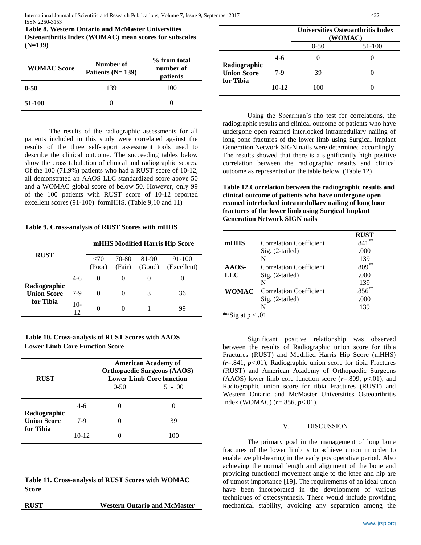International Journal of Scientific and Research Publications, Volume 7, Issue 9, September 2017 422 ISSN 2250-3153

**Table 8. Western Ontario and McMaster Universities Osteoarthritis Index (WOMAC) mean scores for subscales (N=139)**

| <b>WOMAC Score</b> | Number of<br>Patients $(N=139)$ | % from total<br>number of<br>patients |
|--------------------|---------------------------------|---------------------------------------|
| $0 - 50$           | 139                             | 100                                   |
| 51-100             |                                 |                                       |

The results of the radiographic assessments for all patients included in this study were correlated against the results of the three self-report assessment tools used to describe the clinical outcome. The succeeding tables below show the cross tabulation of clinical and radiographic scores. Of the 100 (71.9%) patients who had a RUST score of 10-12, all demonstrated an AAOS LLC standardized score above 50 and a WOMAC global score of below 50. However, only 99 of the 100 patients with RUST score of 10-12 reported excellent scores (91-100) formHHS. (Table 9,10 and 11)

**Table 9. Cross-analysis of RUST Scores with mHHS**

| <b>RUST</b>                        |           | mHHS Modified Harris Hip Score |                 |                 |                       |
|------------------------------------|-----------|--------------------------------|-----------------|-----------------|-----------------------|
|                                    |           | $\langle 70$<br>(Poor)         | 70-80<br>(Fair) | 81-90<br>(Good) | 91-100<br>(Excellent) |
|                                    | $4-6$     | $\Omega$                       | $\mathbf{0}$    |                 |                       |
| Radiographic<br><b>Union Score</b> | $7-9$     | $\Omega$                       | 0               | 3               | 36                    |
| for Tibia                          | 10-<br>12 | 0                              |                 |                 | 99                    |

| Table 10. Cross-analysis of RUST Scores with AAOS |
|---------------------------------------------------|
| <b>Lower Limb Core Function Score</b>             |

| <b>RUST</b>                        |         | <b>American Academy of</b><br><b>Orthopaedic Surgeons (AAOS)</b><br><b>Lower Limb Core function</b> |        |  |
|------------------------------------|---------|-----------------------------------------------------------------------------------------------------|--------|--|
|                                    |         | $0-50$                                                                                              | 51-100 |  |
|                                    | $4-6$   |                                                                                                     |        |  |
| Radiographic<br><b>Union Score</b> | 7-9     |                                                                                                     | 39     |  |
| for Tibia                          | $10-12$ |                                                                                                     | 100    |  |

**Table 11. Cross-analysis of RUST Scores with WOMAC Score**

**RUST Western Ontario and McMaster** 

|                                 |         | <b>Universities Osteoarthritis Index</b><br>(WOMAC) |        |
|---------------------------------|---------|-----------------------------------------------------|--------|
|                                 |         | $0 - 50$                                            | 51-100 |
| Radiographic                    | $4-6$   |                                                     |        |
| <b>Union Score</b><br>for Tibia | 7-9     | 39                                                  |        |
|                                 | $10-12$ | 100                                                 |        |

Using the Spearman's rho test for correlations, the radiographic results and clinical outcome of patients who have undergone open reamed interlocked intramedullary nailing of long bone fractures of the lower limb using Surgical Implant Generation Network SIGN nails were determined accordingly. The results showed that there is a significantly high positive correlation between the radiographic results and clinical outcome as represented on the table below. (Table 12)

**Table 12.Correlation between the radiographic results and clinical outcome of patients who have undergone open reamed interlocked intramedullary nailing of long bone fractures of the lower limb using Surgical Implant Generation Network SIGN nails**

|                                | <b>RUST</b> |
|--------------------------------|-------------|
| <b>Correlation Coefficient</b> | **<br>.841  |
| $Sig. (2-tailed)$              | .000        |
| N                              | 139         |
| <b>Correlation Coefficient</b> | .809        |
| Sig. (2-tailed)                | .000        |
| N                              | 139         |
| <b>Correlation Coefficient</b> | .856        |
| $Sig. (2-tailed)$              | .000        |
| N                              | 139         |
|                                |             |

Significant positive relationship was observed between the results of Radiographic union score for tibia Fractures (RUST) and Modified Harris Hip Score (mHHS) (*r*=.841, *p*<.01), Radiographic union score for tibia Fractures (RUST) and American Academy of Orthopaedic Surgeons (AAOS) lower limb core function score (*r*=.809, *p*<.01), and Radiographic union score for tibia Fractures (RUST) and Western Ontario and McMaster Universities Osteoarthritis Index (WOMAC) (*r*=.856, *p*<.01).

#### V. DISCUSSION

The primary goal in the management of long bone fractures of the lower limb is to achieve union in order to enable weight-bearing in the early postoperative period. Also achieving the normal length and alignment of the bone and providing functional movement angle to the knee and hip are of utmost importance [19]. The requirements of an ideal union have been incorporated in the development of various techniques of osteosynthesis. These would include providing mechanical stability, avoiding any separation among the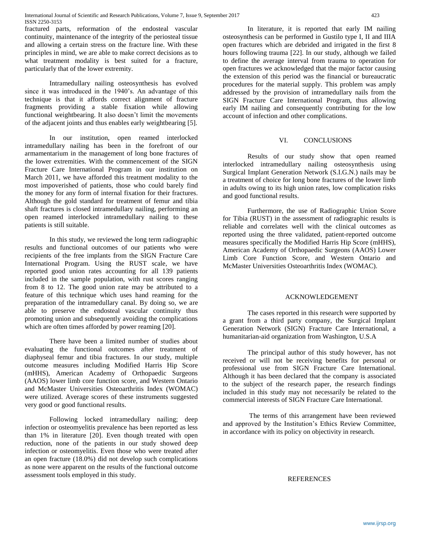fractured parts, reformation of the endosteal vascular continuity, maintenance of the integrity of the periosteal tissue and allowing a certain stress on the fracture line. With these principles in mind, we are able to make correct decisions as to what treatment modality is best suited for a fracture, particularly that of the lower extremity.

Intramedullary nailing osteosynthesis has evolved since it was introduced in the 1940's. An advantage of this technique is that it affords correct alignment of fracture fragments providing a stable fixation while allowing functional weightbearing. It also doesn't limit the movements of the adjacent joints and thus enables early weightbearing [5].

In our institution, open reamed interlocked intramedullary nailing has been in the forefront of our armamentarium in the management of long bone fractures of the lower extremities. With the commencement of the SIGN Fracture Care International Program in our institution on March 2011, we have afforded this treatment modality to the most impoverished of patients, those who could barely find the money for any form of internal fixation for their fractures. Although the gold standard for treatment of femur and tibia shaft fractures is closed intramedullary nailing, performing an open reamed interlocked intramedullary nailing to these patients is still suitable.

In this study, we reviewed the long term radiographic results and functional outcomes of our patients who were recipients of the free implants from the SIGN Fracture Care International Program. Using the RUST scale, we have reported good union rates accounting for all 139 patients included in the sample population, with rust scores ranging from 8 to 12. The good union rate may be attributed to a feature of this technique which uses hand reaming for the preparation of the intramedullary canal. By doing so, we are able to preserve the endosteal vascular continuity thus promoting union and subsequently avoiding the complications which are often times afforded by power reaming [20].

There have been a limited number of studies about evaluating the functional outcomes after treatment of diaphyseal femur and tibia fractures. In our study, multiple outcome measures including Modified Harris Hip Score (mHHS), American Academy of Orthopaedic Surgeons (AAOS) lower limb core function score, and Western Ontario and McMaster Universities Osteoarthritis Index (WOMAC) were utilized. Average scores of these instruments suggested very good or good functional results.

Following locked intramedullary nailing; deep infection or osteomyelitis prevalence has been reported as less than 1% in literature [20]. Even though treated with open reduction, none of the patients in our study showed deep infection or osteomyelitis. Even those who were treated after an open fracture (18.0%) did not develop such complications as none were apparent on the results of the functional outcome assessment tools employed in this study.

In literature, it is reported that early IM nailing osteosynthesis can be performed in Gustilo type I, II and IIIA open fractures which are debrided and irrigated in the first 8 hours following trauma [22]. In our study, although we failed to define the average interval from trauma to operation for open fractures we acknowledged that the major factor causing the extension of this period was the financial or bureaucratic procedures for the material supply. This problem was amply addressed by the provision of intramedullary nails from the SIGN Fracture Care International Program, thus allowing early IM nailing and consequently contributing for the low account of infection and other complications.

#### VI. CONCLUSIONS

Results of our study show that open reamed interlocked intramedullary nailing osteosynthesis using Surgical Implant Generation Network (S.I.G.N.) nails may be a treatment of choice for long bone fractures of the lower limb in adults owing to its high union rates, low complication risks and good functional results.

Furthermore, the use of Radiographic Union Score for Tibia (RUST) in the assessment of radiographic results is reliable and correlates well with the clinical outcomes as reported using the three validated, patient-reported outcome measures specifically the Modified Harris Hip Score (mHHS), American Academy of Orthopaedic Surgeons (AAOS) Lower Limb Core Function Score, and Western Ontario and McMaster Universities Osteoarthritis Index (WOMAC).

#### ACKNOWLEDGEMENT

The cases reported in this research were supported by a grant from a third party company, the Surgical Implant Generation Network (SIGN) Fracture Care International, a humanitarian-aid organization from Washington, U.S.A

The principal author of this study however, has not received or will not be receiving benefits for personal or professional use from SIGN Fracture Care International. Although it has been declared that the company is associated to the subject of the research paper, the research findings included in this study may not necessarily be related to the commercial interests of SIGN Fracture Care International.

The terms of this arrangement have been reviewed and approved by the Institution's Ethics Review Committee, in accordance with its policy on objectivity in research.

#### REFERENCES